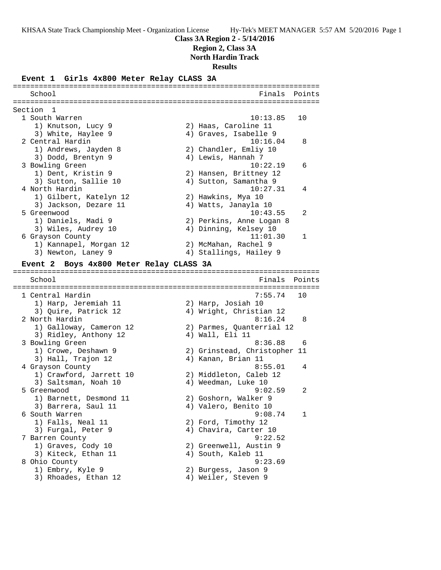### **Class 3A Region 2 - 5/14/2016**

**Region 2, Class 3A**

**North Hardin Track**

**Results**

### **Event 1 Girls 4x800 Meter Relay CLASS 3A**

======================================================================= School **Finals Points** ======================================================================= Section 1<br>1 South Warren 1 South Warren 10:13.85 10 1) Knutson, Lucy 9 2) Haas, Caroline 11 3) White, Haylee 9 4) Graves, Isabelle 9 2 Central Hardin 10:16.04 8 1) Andrews, Jayden 8 2) Chandler, Emliy 10 3) Dodd, Brentyn 9 4) Lewis, Hannah 7 3 Bowling Green 10:22.19 6 1) Dent, Kristin 9 2) Hansen, Brittney 12 3) Sutton, Sallie 10 4) Sutton, Samantha 9 4 North Hardin 10:27.31 4 1) Gilbert, Katelyn 12 2) Hawkins, Mya 10 3) Jackson, Dezare 11  $\hskip1cm \hskip1cm 4$ ) Watts, Janayla 10 5 Greenwood 10:43.55 2 1) Daniels, Madi 9 2) Perkins, Anne Logan 8 3) Wiles, Audrey 10 4) Dinning, Kelsey 10 6 Grayson County 11:01.30 1 1) Kannapel, Morgan 12 2) McMahan, Rachel 9 3) Newton, Laney 9 4) Stallings, Hailey 9 **Event 2 Boys 4x800 Meter Relay CLASS 3A** ======================================================================= School **Finals** Points ======================================================================= 1 Central Hardin 7:55.74 10 1) Harp, Jeremiah 11 2) Harp, Josiah 10 3) Quire, Patrick 12 4) Wright, Christian 12 2 North Hardin 8:16.24 8 1) Galloway, Cameron 12 2) Parmes, Quanterrial 12 3) Ridley, Anthony 12 (4) Wall, Eli 11 3 Bowling Green 8:36.88 6 1) Crowe, Deshawn 9 2) Grinstead, Christopher 11 3) Hall, Trajon 12 (4) Kanan, Brian 11 4 Grayson County 8:55.01 4 1) Crawford, Jarrett 10 2) Middleton, Caleb 12 3) Saltsman, Noah 10  $\hskip1cm \hskip1cm 4$ ) Weedman, Luke 10 5 Greenwood 9:02.59 2 1) Barnett, Desmond 11 2) Goshorn, Walker 9 3) Barrera, Saul 11 (4) Valero, Benito 10 6 South Warren 9:08.74 1 1) Falls, Neal 11 2) Ford, Timothy 12 3) Furgal, Peter 9 4) Chavira, Carter 10 7 Barren County 9:22.52 1) Graves, Cody 10 2) Greenwell, Austin 9 3) Kiteck, Ethan 11 (4) South, Kaleb 11 8 Ohio County 9:23.69 1) Embry, Kyle 9 2) Burgess, Jason 9 3) Rhoades, Ethan 12 (4) Weiler, Steven 9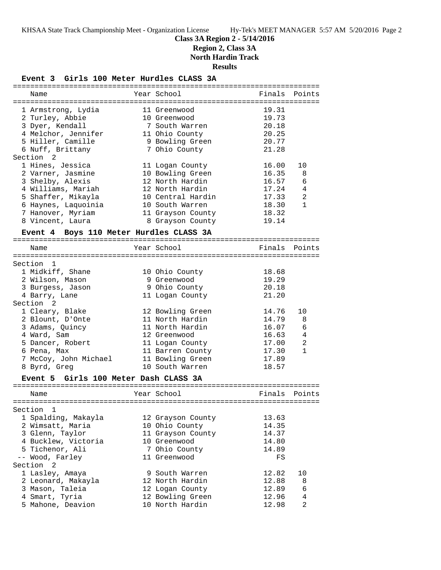# **Class 3A Region 2 - 5/14/2016**

**Region 2, Class 3A**

**North Hardin Track**

**Results**

# **Event 3 Girls 100 Meter Hurdles CLASS 3A**

| Name                                    | Year School                         |                | Finals Points  |
|-----------------------------------------|-------------------------------------|----------------|----------------|
|                                         | 11 Greenwood                        | 19.31          | $=$ $=$ $=$    |
| 1 Armstrong, Lydia<br>2 Turley, Abbie   | 10 Greenwood                        | 19.73          |                |
| 3 Dyer, Kendall                         | 7 South Warren                      | 20.18          |                |
| 4 Melchor, Jennifer                     | 11 Ohio County                      | 20.25          |                |
| 5 Hiller, Camille                       | 9 Bowling Green                     | 20.77          |                |
| 6 Nuff, Brittany                        | 7 Ohio County                       | 21.28          |                |
| Section 2                               |                                     |                |                |
| 1 Hines, Jessica                        | 11 Logan County                     | 16.00          | 10             |
| 2 Varner, Jasmine                       | 10 Bowling Green                    | 16.35          | 8              |
| 3 Shelby, Alexis                        | 12 North Hardin                     | 16.57          | 6              |
| 4 Williams, Mariah                      | 12 North Hardin                     | 17.24          | 4              |
| 5 Shaffer, Mikayla                      | 10 Central Hardin                   | 17.33          | $\overline{a}$ |
| 6 Haynes, Laquoinia                     | 10 South Warren                     | 18.30          | $\mathbf{1}$   |
| 7 Hanover, Myriam                       | 11 Grayson County                   | 18.32          |                |
| 8 Vincent, Laura                        | 8 Grayson County                    | 19.14          |                |
| Event 4 Boys 110 Meter Hurdles CLASS 3A |                                     |                |                |
|                                         |                                     |                |                |
| Name                                    | Year School                         | Finals         | Points         |
| Section 1                               |                                     |                |                |
| 1 Midkiff, Shane                        | 10 Ohio County                      | 18.68          |                |
| 2 Wilson, Mason                         | 9 Greenwood                         | 19.29          |                |
| 3 Burgess, Jason                        | 9 Ohio County                       | 20.18          |                |
| 4 Barry, Lane                           | 11 Logan County                     | 21.20          |                |
| Section 2                               |                                     |                |                |
| 1 Cleary, Blake                         | 12 Bowling Green                    | 14.76          | 10             |
| 2 Blount, D'Onte                        | 11 North Hardin                     | 14.79          | 8              |
| 3 Adams, Quincy                         | 11 North Hardin                     | 16.07          | 6              |
| 4 Ward, Sam                             | 12 Greenwood                        | 16.63          | 4              |
| 5 Dancer, Robert                        |                                     | 17.00          | $\overline{2}$ |
|                                         | 11 Logan County                     |                | $\mathbf{1}$   |
| 6 Pena, Max                             | 11 Barren County                    | 17.30          |                |
| 7 McCoy, John Michael                   | 11 Bowling Green<br>10 South Warren | 17.89<br>18.57 |                |
| 8 Byrd, Greg                            |                                     |                |                |
| Event 5 Girls 100 Meter Dash CLASS 3A   |                                     |                |                |
| Name                                    | Year School                         | Finals         | Points         |
|                                         |                                     |                |                |
| Section 1                               |                                     |                |                |
| 1 Spalding, Makayla                     | 12 Grayson County                   | 13.63          |                |
| 2 Wimsatt, Maria                        | 10 Ohio County                      | 14.35          |                |
| 3 Glenn, Taylor                         | 11 Grayson County                   | 14.37          |                |
| 4 Bucklew, Victoria                     | 10 Greenwood                        | 14.80          |                |
| 5 Tichenor, Ali                         | 7 Ohio County                       | 14.89          |                |
| -- Wood, Farley                         | 11 Greenwood                        | FS             |                |
| Section <sub>2</sub>                    |                                     |                |                |
| 1 Lasley, Amaya                         | 9 South Warren                      | 12.82          | 10             |
| 2 Leonard, Makayla                      | 12 North Hardin                     | 12.88          | 8              |
| 3 Mason, Taleia                         | 12 Logan County                     | 12.89          | 6              |
| 4 Smart, Tyria                          | 12 Bowling Green                    | 12.96          | 4              |
| 5 Mahone, Deavion                       | 10 North Hardin                     | 12.98          | $\overline{a}$ |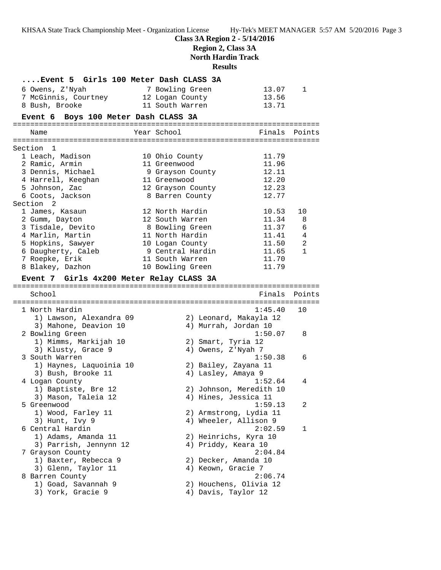**Class 3A Region 2 - 5/14/2016**

**Region 2, Class 3A**

**North Hardin Track**

**Results**

| Event 5 Girls 100 Meter Dash CLASS 3A    |                                  |                  |
|------------------------------------------|----------------------------------|------------------|
| 6 Owens, Z'Nyah                          | 7 Bowling Green                  | 13.07<br>1       |
| 7 McGinnis, Courtney                     | 12 Logan County                  | 13.56            |
| 8 Bush, Brooke                           | 11 South Warren                  | 13.71            |
| Event 6 Boys 100 Meter Dash CLASS 3A     |                                  |                  |
| Name                                     | Year School                      | Finals<br>Points |
|                                          |                                  |                  |
| Section 1                                |                                  |                  |
| 1 Leach, Madison                         | 10 Ohio County                   | 11.79            |
| 2 Ramic, Armin                           | 11 Greenwood                     | 11.96            |
| 3 Dennis, Michael                        | 9 Grayson County<br>11 Greenwood | 12.11<br>12.20   |
| 4 Harrell, Keeghan<br>5 Johnson, Zac     | 12 Grayson County                | 12.23            |
| 6 Coots, Jackson                         | 8 Barren County                  | 12.77            |
| Section 2                                |                                  |                  |
| 1 James, Kasaun                          | 12 North Hardin                  | 10.53<br>10      |
| 2 Gumm, Dayton                           | 12 South Warren                  | 11.34<br>8       |
| 3 Tisdale, Devito                        | 8 Bowling Green                  | 11.37<br>6       |
| 4 Marlin, Martin                         | 11 North Hardin                  | 11.41<br>4       |
| 5 Hopkins, Sawyer                        | 10 Logan County                  | 11.50<br>2       |
| 6 Daugherty, Caleb                       | 9 Central Hardin                 | 11.65<br>1       |
| 7 Roepke, Erik                           | 11 South Warren                  | 11.70            |
| 8 Blakey, Dazhon                         | 10 Bowling Green                 | 11.79            |
| Event 7 Girls 4x200 Meter Relay CLASS 3A |                                  |                  |
|                                          |                                  |                  |
| School                                   | Finals                           | Points           |
| 1 North Hardin                           | 1:45.40                          | 10               |
| 1) Lawson, Alexandra 09                  | 2) Leonard, Makayla 12           |                  |
| 3) Mahone, Deavion 10                    | 4) Murrah, Jordan 10             |                  |
| 2 Bowling Green                          | 1:50.07                          | 8                |
| 1) Mimms, Markijah 10                    | 2) Smart, Tyria 12               |                  |
| 3) Klusty, Grace 9                       | 4) Owens, Z'Nyah 7               |                  |
| 3 South Warren                           | 1:50.38                          | 6                |
| 1) Haynes, Laquoinia 10                  | 2) Bailey, Zayana 11             |                  |
| 3) Bush, Brooke 11                       | 4) Lasley, Amaya 9               |                  |
| 4 Logan County                           | 1:52.64                          | 4                |
| 1) Baptiste, Bre 12                      | 2) Johnson, Meredith 10          |                  |
| 3) Mason, Taleia 12<br>5 Greenwood       | 4) Hines, Jessica 11<br>1:59.13  | 2                |
| 1) Wood, Farley 11                       | 2) Armstrong, Lydia 11           |                  |
| 3) Hunt, Ivy 9                           | 4) Wheeler, Allison 9            |                  |
| 6 Central Hardin                         | 2:02.59                          | 1                |
| 1) Adams, Amanda 11                      | 2) Heinrichs, Kyra 10            |                  |
| 3) Parrish, Jennynn 12                   | 4) Priddy, Keara 10              |                  |
| 7 Grayson County                         | 2:04.84                          |                  |
| 1) Baxter, Rebecca 9                     | 2) Decker, Amanda 10             |                  |
| 3) Glenn, Taylor 11                      | 4) Keown, Gracie 7               |                  |
| 8 Barren County                          | 2:06.74                          |                  |
| 1) Goad, Savannah 9                      | 2) Houchens, Olivia 12           |                  |
| 3) York, Gracie 9                        | 4) Davis, Taylor 12              |                  |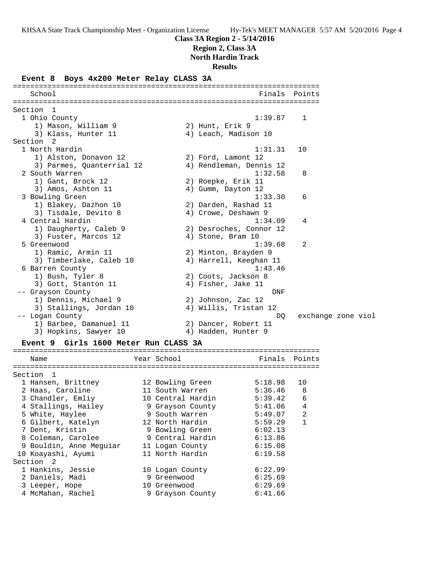### **Class 3A Region 2 - 5/14/2016**

**Region 2, Class 3A**

**North Hardin Track**

#### **Results**

### **Event 8 Boys 4x200 Meter Relay CLASS 3A**

======================================================================= School **Finals** Points ======================================================================= Section 1 1 Ohio County 1:39.87 1 1) Mason, William 9 2) Hunt, Erik 9 3) Klass, Hunter 11 (4) Leach, Madison 10 Section 2<br>1 North Hardin 1 North Hardin 1:31.31 10 1) Alston, Donavon 12 2) Ford, Lamont 12 3) Parmes, Quanterrial 12 4) Rendleman, Dennis 12 2 South Warren 2012 1:32.58 8 1) Gant, Brock 12 2) Roepke, Erik 11 3) Amos, Ashton 11 4) Gumm, Dayton 12 3 Bowling Green 1:33.30 6 1) Blakey, Dazhon 10 2) Darden, Rashad 11 3) Tisdale, Devito 8 (4) Crowe, Deshawn 9 4 Central Hardin 1:34.09 4 1) Daugherty, Caleb 9 2) Desroches, Connor 12 3) Fuster, Marcos 12 (a) 4) Stone, Bram 10 5 Greenwood 1:39.68 2 1) Ramic, Armin 11 2) Minton, Brayden 9 3) Timberlake, Caleb 10 4) Harrell, Keeghan 11 6 Barren County<br>
1:43.46<br>
2) Coots, Jackson 8<br>
2) Coots, Jackson 8 1) Bush, Tyler 8 2) Coots, Jackson 8 3) Gott, Stanton 11 (4) Fisher, Jake 11 -- Grayson County DNF 1) Dennis, Michael 9 2) Johnson, Zac 12 3) Stallings, Jordan 10 4) Willis, Tristan 12 -- Logan County DQ exchange zone viol 1) Barbee, Damanuel 11 2) Dancer, Robert 11 3) Hopkins, Sawyer 10  $\hskip1cm$  4) Hadden, Hunter 9 **Event 9 Girls 1600 Meter Run CLASS 3A** =======================================================================

|  | Finals                                                                                                                                                                                                                                                                              | Points         |
|--|-------------------------------------------------------------------------------------------------------------------------------------------------------------------------------------------------------------------------------------------------------------------------------------|----------------|
|  |                                                                                                                                                                                                                                                                                     |                |
|  | 5:18.98                                                                                                                                                                                                                                                                             | 10             |
|  | 5:36.46                                                                                                                                                                                                                                                                             | -8             |
|  | 5:39.42                                                                                                                                                                                                                                                                             | 6              |
|  | 5:41.06                                                                                                                                                                                                                                                                             | $\overline{4}$ |
|  | 5:49.07                                                                                                                                                                                                                                                                             | 2              |
|  | 5:59.29                                                                                                                                                                                                                                                                             | $\mathbf{1}$   |
|  | 6:02.13                                                                                                                                                                                                                                                                             |                |
|  | 6:13.86                                                                                                                                                                                                                                                                             |                |
|  | 6:15.08                                                                                                                                                                                                                                                                             |                |
|  | 6:19.58                                                                                                                                                                                                                                                                             |                |
|  |                                                                                                                                                                                                                                                                                     |                |
|  | 6:22.99                                                                                                                                                                                                                                                                             |                |
|  | 6:25.69                                                                                                                                                                                                                                                                             |                |
|  | 6:29.69                                                                                                                                                                                                                                                                             |                |
|  | 6:41.66                                                                                                                                                                                                                                                                             |                |
|  | Year School<br>12 Bowling Green<br>11 South Warren<br>10 Central Hardin<br>9 Grayson County<br>9 South Warren<br>12 North Hardin<br>9 Bowling Green<br>9 Central Hardin<br>11 Logan County<br>11 North Hardin<br>10 Logan County<br>9 Greenwood<br>10 Greenwood<br>9 Grayson County |                |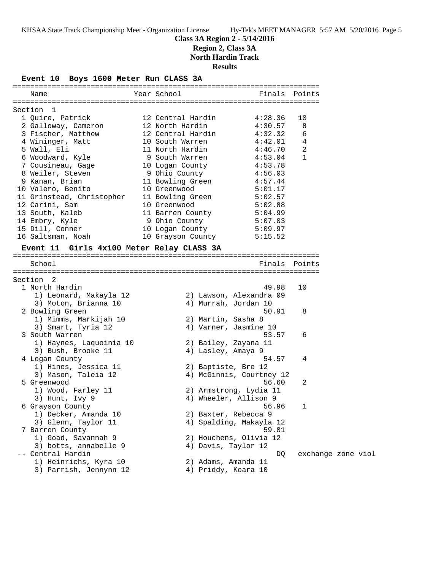### **Class 3A Region 2 - 5/14/2016 Region 2, Class 3A**

**North Hardin Track**

**Results**

**Event 10 Boys 1600 Meter Run CLASS 3A**

| Name                                      | Year School       | Finals                   | Points             |  |
|-------------------------------------------|-------------------|--------------------------|--------------------|--|
| Section 1                                 |                   |                          |                    |  |
| 1 Quire, Patrick                          | 12 Central Hardin | 4:28.36                  | 10                 |  |
| 2 Galloway, Cameron                       | 12 North Hardin   | 4:30.57                  | 8                  |  |
| 3 Fischer, Matthew                        | 12 Central Hardin | 4:32.32                  | 6                  |  |
| 4 Wininger, Matt                          | 10 South Warren   | 4:42.01                  | 4                  |  |
| 5 Wall, Eli                               | 11 North Hardin   | 4:46.70                  | 2                  |  |
| 6 Woodward, Kyle                          | 9 South Warren    | 4:53.04                  | 1                  |  |
| 7 Cousineau, Gage                         | 10 Logan County   | 4:53.78                  |                    |  |
| 8 Weiler, Steven                          | 9 Ohio County     | 4:56.03                  |                    |  |
| 9 Kanan, Brian                            | 11 Bowling Green  | 4:57.44                  |                    |  |
| 10 Valero, Benito                         | 10 Greenwood      | 5:01.17                  |                    |  |
| 11 Grinstead, Christopher                 | 11 Bowling Green  | 5:02.57                  |                    |  |
| 12 Carini, Sam                            | 10 Greenwood      | 5:02.88                  |                    |  |
| 13 South, Kaleb                           | 11 Barren County  | 5:04.99                  |                    |  |
| 14 Embry, Kyle                            | 9 Ohio County     | 5:07.03                  |                    |  |
| 15 Dill, Conner                           | 10 Logan County   | 5:09.97                  |                    |  |
| 16 Saltsman, Noah                         | 10 Grayson County | 5:15.52                  |                    |  |
|                                           |                   |                          |                    |  |
| Event 11 Girls 4x100 Meter Relay CLASS 3A |                   |                          |                    |  |
|                                           |                   |                          |                    |  |
| School                                    |                   | Finals Points            |                    |  |
|                                           |                   |                          |                    |  |
| Section 2                                 |                   |                          |                    |  |
| 1 North Hardin                            |                   | 49.98                    | 10                 |  |
| 1) Leonard, Makayla 12                    |                   | 2) Lawson, Alexandra 09  |                    |  |
| 3) Moton, Brianna 10                      |                   | 4) Murrah, Jordan 10     |                    |  |
| 2 Bowling Green                           |                   | 50.91                    | 8                  |  |
| 1) Mimms, Markijah 10                     |                   | 2) Martin, Sasha 8       |                    |  |
| 3) Smart, Tyria 12                        |                   | 4) Varner, Jasmine 10    |                    |  |
| 3 South Warren                            |                   | 53.57                    | 6                  |  |
| 1) Haynes, Laquoinia 10                   |                   | 2) Bailey, Zayana 11     |                    |  |
| 3) Bush, Brooke 11                        |                   | 4) Lasley, Amaya 9       |                    |  |
| 4 Logan County                            |                   | 54.57                    | 4                  |  |
| 1) Hines, Jessica 11                      |                   | 2) Baptiste, Bre 12      |                    |  |
| 3) Mason, Taleia 12                       |                   | 4) McGinnis, Courtney 12 |                    |  |
| 5 Greenwood                               |                   | 56.60                    | 2                  |  |
| 1) Wood, Farley 11                        |                   | 2) Armstrong, Lydia 11   |                    |  |
| 3) Hunt, Ivy 9                            |                   | 4) Wheeler, Allison 9    |                    |  |
| 6 Grayson County                          |                   | 56.96                    |                    |  |
| 1) Decker, Amanda 10                      |                   | 2) Baxter, Rebecca 9     |                    |  |
| 3) Glenn, Taylor 11                       |                   | 4) Spalding, Makayla 12  |                    |  |
| 7 Barren County                           |                   | 59.01                    |                    |  |
| 1) Goad, Savannah 9                       |                   | 2) Houchens, Olivia 12   |                    |  |
| 3) botts, annabelle 9                     |                   | 4) Davis, Taylor 12      |                    |  |
| -- Central Hardin                         |                   | DQ                       | exchange zone viol |  |
| 1) Heinrichs, Kyra 10                     |                   | 2) Adams, Amanda 11      |                    |  |
| 3) Parrish, Jennynn 12                    |                   | 4) Priddy, Keara 10      |                    |  |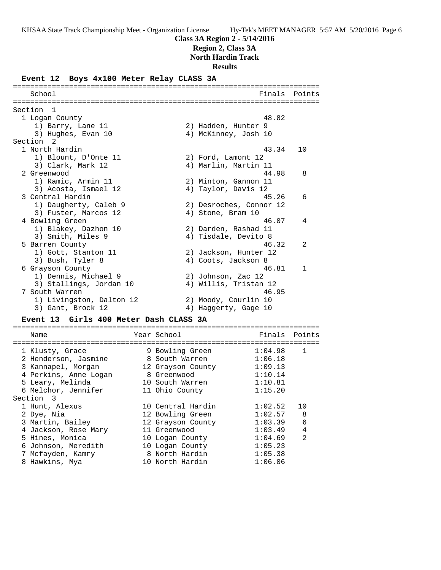### **Class 3A Region 2 - 5/14/2016**

**Region 2, Class 3A**

**North Hardin Track**

**Results**

### **Event 12 Boys 4x100 Meter Relay CLASS 3A**

======================================================================= School **Finals Points** ======================================================================= Section 1 1 Logan County 48.82 1) Barry, Lane 11 2) Hadden, Hunter 9 3) Hughes, Evan 10 4) McKinney, Josh 10 Section 2<br>1 North Hardin 1 North Hardin 43.34 10 1) Blount, D'Onte 11 (2) Ford, Lamont 12 3) Clark, Mark 12 (4) Marlin, Martin 11 2 Greenwood 44.98 8 1) Ramic, Armin 11 2) Minton, Gannon 11 3) Acosta, Ismael 12 (4) Taylor, Davis 12 3 Central Hardin 45.26 6 1) Daugherty, Caleb 9 2) Desroches, Connor 12 3) Fuster, Marcos 12 (a) 4) Stone, Bram 10 4 Bowling Green 46.07 4 1) Blakey, Dazhon 10 2) Darden, Rashad 11 3) Smith, Miles 9 (4) Tisdale, Devito 8 5 Barren County 46.32 2 1) Gott, Stanton 11 2) Jackson, Hunter 12 3) Bush, Tyler 8 (4) Coots, Jackson 8 6 Grayson County 46.81 1 1) Dennis, Michael 9 2) Johnson, Zac 12 3) Stallings, Jordan 10 4) Willis, Tristan 12 7 South Warren 46.95 1) Livingston, Dalton 12 2) Moody, Courlin 10 3) Gant, Brock 12 (4) Haggerty, Gage 10 **Event 13 Girls 400 Meter Dash CLASS 3A** ======================================================================= Name The Year School The Finals Points ======================================================================= 1 Klusty, Grace 9 Bowling Green 1:04.98 1 2 Henderson, Jasmine 8 South Warren 1:06.18 3 Kannapel, Morgan 12 Grayson County 1:09.13 4 Perkins, Anne Logan 8 Greenwood 1:10.14 5 Leary, Melinda 10 South Warren 1:10.81 6 Melchor, Jennifer 11 Ohio County 1:15.20 Section 3 1 Hunt, Alexus 10 Central Hardin 1:02.52 10 2 Dye, Nia 12 Bowling Green 1:02.57 8 3 Martin, Bailey 12 Grayson County 1:03.39 6 4 Jackson, Rose Mary 11 Greenwood 1:03.49 4 5 Hines, Monica 10 Logan County 1:04.69 2 6 Johnson, Meredith 10 Logan County 1:05.23 7 Mcfayden, Kamry 8 North Hardin 1:05.38

8 Hawkins, Mya 10 North Hardin 1:06.06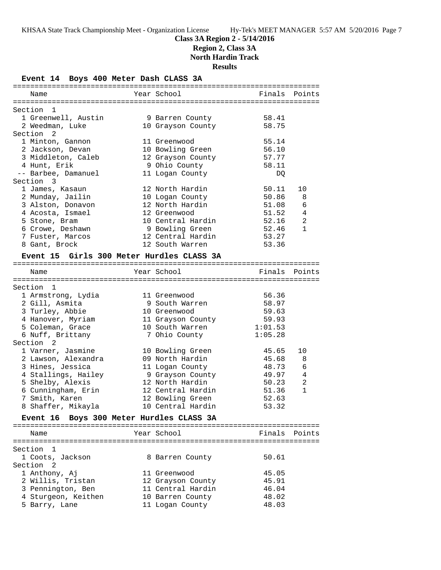### **Class 3A Region 2 - 5/14/2016 Region 2, Class 3A North Hardin Track**

**Results**

**Event 14 Boys 400 Meter Dash CLASS 3A**

| Name                                      | Year School                     | Finals Points |              |
|-------------------------------------------|---------------------------------|---------------|--------------|
| Section 1                                 |                                 |               |              |
| 1 Greenwell, Austin                       | 9 Barren County                 | 58.41         |              |
| 2 Weedman, Luke                           | 10 Grayson County               | 58.75         |              |
| Section <sub>2</sub>                      |                                 |               |              |
| 1 Minton, Gannon                          | 11 Greenwood                    | 55.14         |              |
| 2 Jackson, Devan                          | 10 Bowling Green                | 56.10         |              |
| 3 Middleton, Caleb                        | 12 Grayson County               | 57.77         |              |
| 4 Hunt, Erik                              | 9 Ohio County                   | 58.11         |              |
| -- Barbee, Damanuel                       | 11 Logan County                 | DQ.           |              |
| Section 3                                 |                                 |               |              |
| 1 James, Kasaun                           | 12 North Hardin                 | 50.11         | 10           |
| 2 Munday, Jailin                          | 10 Logan County                 | 50.86         | 8            |
| 3 Alston, Donavon                         | 12 North Hardin                 | 51.08         | 6            |
| 4 Acosta, Ismael                          | 12 Greenwood                    | 51.52         | 4            |
| 5 Stone, Bram                             | 10 Central Hardin               | 52.16         | 2            |
| 6 Crowe, Deshawn                          | 9 Bowling Green                 | 52.46         | $\mathbf{1}$ |
| 7 Fuster, Marcos                          | 12 Central Hardin               | 53.27         |              |
| 8 Gant, Brock                             | 12 South Warren                 | 53.36         |              |
| Event 15 Girls 300 Meter Hurdles CLASS 3A |                                 |               |              |
|                                           |                                 |               |              |
| Name                                      | Year School                     | Finals Points |              |
|                                           |                                 |               |              |
| Section 1                                 |                                 |               |              |
| 1 Armstrong, Lydia                        | 11 Greenwood                    | 56.36         |              |
| 2 Gill, Asmita                            | 9 South Warren                  | 58.97         |              |
| 3 Turley, Abbie                           | 10 Greenwood                    | 59.63         |              |
| 4 Hanover, Myriam                         | 11 Grayson County               | 59.93         |              |
| 5 Coleman, Grace                          | 10 South Warren                 | 1:01.53       |              |
| 6 Nuff, Brittany                          | 7 Ohio County                   | 1:05.28       |              |
| Section <sub>2</sub>                      |                                 |               |              |
| 1 Varner, Jasmine                         | 10 Bowling Green                | 45.65         | 10           |
| 2 Lawson, Alexandra                       | 09 North Hardin                 | 45.68         | 8            |
| 3 Hines, Jessica                          | 11 Logan County                 | 48.73         | 6            |
| 4 Stallings, Hailey                       | 9 Grayson County                | 49.97         | 4            |
| 5 Shelby, Alexis                          | 12 North Hardin                 | 50.23         | 2            |
| 6 Cunningham, Erin                        | 12 Central Hardin               | 51.36         | 1            |
| 7 Smith, Karen                            | 12 Bowling Green                | 52.63         |              |
| 8 Shaffer, Mikayla                        | 10 Central Hardin               | 53.32         |              |
| <b>Event 16</b>                           | Boys 300 Meter Hurdles CLASS 3A |               |              |
| Name                                      | Year School                     | Finals        | Points       |
|                                           |                                 |               |              |
| Section<br>$\mathbf{1}$                   |                                 |               |              |
| 1 Coots, Jackson                          | 8 Barren County                 | 50.61         |              |
| Section<br>2                              |                                 |               |              |
| 1 Anthony, Aj                             | 11 Greenwood                    | 45.05         |              |
| 2 Willis, Tristan                         | 12 Grayson County               | 45.91         |              |
| 3 Pennington, Ben                         | 11 Central Hardin               | 46.04         |              |
| 4 Sturgeon, Keithen                       | 10 Barren County                | 48.02         |              |
| 5 Barry, Lane                             | 11 Logan County                 | 48.03         |              |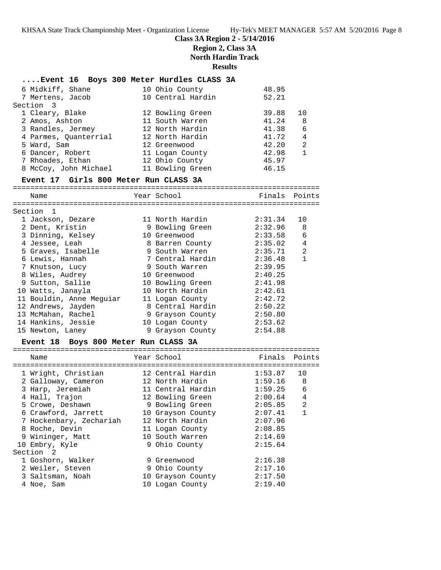### **Class 3A Region 2 - 5/14/2016 Region 2, Class 3A North Hardin Track Results**

| Event 16 Boys 300 Meter Hurdles CLASS 3A         |                             |                |                |
|--------------------------------------------------|-----------------------------|----------------|----------------|
| 6 Midkiff, Shane                                 | 10 Ohio County              | 48.95          |                |
| 7 Mertens, Jacob                                 | 10 Central Hardin           | 52.21          |                |
| Section 3                                        |                             |                |                |
| 1 Cleary, Blake                                  | 12 Bowling Green            | 39.88          | 10             |
| 2 Amos, Ashton                                   | 11 South Warren             | 41.24          | -8             |
| 3 Randles, Jermey                                | 12 North Hardin             | 41.38          | 6              |
| 4 Parmes, Quanterrial                            | 12 North Hardin             | 41.72<br>42.20 | $\overline{4}$ |
| 5 Ward, Sam                                      | 12 Greenwood                |                | 2              |
| 6 Dancer, Robert                                 | 11 Logan County             | 42.98          | 1              |
| 7 Rhoades, Ethan                                 | 12 Ohio County              | 45.97          |                |
| 8 McCoy, John Michael                            | 11 Bowling Green            | 46.15          |                |
| Event 17 Girls 800 Meter Run CLASS 3A            |                             |                |                |
| Name                                             | Year School                 | Finals Points  |                |
| Section 1                                        |                             |                |                |
| 1 Jackson, Dezare                                | 11 North Hardin             | 2:31.34        | 10             |
| 2 Dent, Kristin                                  | 9 Bowling Green             | 2:32.96        | 8              |
| 3 Dinning, Kelsey                                | 10 Greenwood                | 2:33.58        | 6              |
| 4 Jessee, Leah                                   | 8 Barren County 2:35.02 4   |                |                |
| 5 Graves, Isabelle                               | 9 South Warren              | 2:35.71        | 2              |
| 6 Lewis, Hannah                                  | 7 Central Hardin 2:36.48    |                | 1              |
| 7 Knutson, Lucy                                  | 9 South Warren              | 2:39.95        |                |
| 8 Wiles, Audrey                                  | 10 Greenwood                | 2:40.25        |                |
| 9 Sutton, Sallie                                 |                             |                |                |
| 10 Watts, Janayla                                |                             |                |                |
| 11 Bouldin, Anne Meguiar                         | 11 Logan County             | 2:42.72        |                |
| 12 Andrews, Jayden                               | 8 Central Hardin            | 2:50.22        |                |
| 13 McMahan, Rachel                               | 9 Grayson County            | 2:50.80        |                |
| 14 Hankins, Jessie                               | 10 Logan County             | 2:53.62        |                |
| 15 Newton, Laney                                 | 9 Grayson County            | 2:54.88        |                |
| Event 18 Boys 800 Meter Run CLASS 3A             |                             |                |                |
| Name                                             | Year School                 | Finals Points  |                |
| 1 Wright, Christian 12 Central Hardin 1:53.87 10 |                             |                |                |
| 2 Galloway, Cameron 12 North Hardin              |                             | $1:59.16$ 8    |                |
| 3 Harp, Jeremiah                                 | 11 Central Hardin 1:59.25 6 |                |                |
| 4 Hall, Trajon                                   | 12 Bowling Green            | 2:00.64        | $\overline{4}$ |
| 5 Crowe, Deshawn                                 | 9 Bowling Green             | 2:05.85        | 2              |
| 6 Crawford, Jarrett                              | 10 Grayson County           | 2:07.41        | 1              |
| 7 Hockenbary, Zechariah                          | 12 North Hardin             | 2:07.96        |                |
| 8 Roche, Devin                                   | 11 Logan County             | 2:08.85        |                |
| 9 Wininger, Matt                                 | 10 South Warren             | 2:14.69        |                |
| 10 Embry, Kyle                                   | 9 Ohio County               | 2:15.64        |                |
| Section<br>2                                     |                             |                |                |
| 1 Goshorn, Walker                                | 9 Greenwood                 | 2:16.38        |                |
| 2 Weiler, Steven                                 | 9 Ohio County               | 2:17.16        |                |
| 3 Saltsman, Noah                                 | 10 Grayson County           | 2:17.50        |                |
| 4 Noe, Sam                                       | 10 Logan County             | 2:19.40        |                |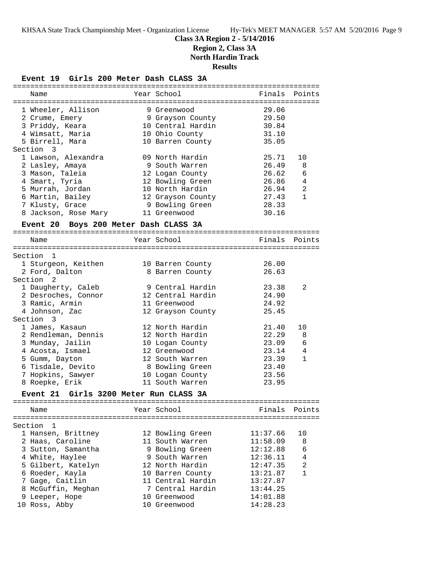## **Class 3A Region 2 - 5/14/2016**

**Region 2, Class 3A**

**North Hardin Track**

**Results**

**Event 19 Girls 200 Meter Dash CLASS 3A**

| Name                                             | Year School                         | Finals         | Points         |
|--------------------------------------------------|-------------------------------------|----------------|----------------|
|                                                  |                                     |                |                |
| 1 Wheeler, Allison                               | 9 Greenwood                         | 29.06          |                |
| 2 Crume, Emery                                   | 9 Grayson County                    | 29.50          |                |
| 3 Priddy, Keara                                  | 10 Central Hardin                   | 30.84          |                |
| 4 Wimsatt, Maria                                 | 10 Ohio County                      | 31.10          |                |
| 5 Birrell, Mara                                  | 10 Barren County                    | 35.05          |                |
| Section 3                                        |                                     |                |                |
| 1 Lawson, Alexandra                              | 09 North Hardin                     | 25.71<br>26.49 | 10             |
| 2 Lasley, Amaya                                  | 9 South Warren                      |                | 8              |
| 3 Mason, Taleia                                  | 12 Logan County                     | 26.62<br>26.86 | 6              |
| 4 Smart, Tyria                                   | 12 Bowling Green<br>10 North Hardin | 26.94          | 4<br>2         |
| 5 Murrah, Jordan                                 |                                     | 27.43          | $\mathbf{1}$   |
| 6 Martin, Bailey                                 | 12 Grayson County                   | 28.33          |                |
| 7 Klusty, Grace                                  | 9 Bowling Green<br>11 Greenwood     | 30.16          |                |
| 8 Jackson, Rose Mary                             |                                     |                |                |
| Event 20 Boys 200 Meter Dash CLASS 3A            |                                     |                |                |
| Name                                             | Year School                         | Finals         | Points         |
| Section 1                                        |                                     |                |                |
| 1 Sturgeon, Keithen                              | 10 Barren County                    | 26.00          |                |
| 2 Ford, Dalton                                   | 8 Barren County                     | 26.63          |                |
| Section 2                                        |                                     |                |                |
| 1 Daugherty, Caleb                               | 9 Central Hardin                    | 23.38          | 2              |
| 2 Desroches, Connor                              | 12 Central Hardin                   | 24.90          |                |
| 3 Ramic, Armin                                   | 11 Greenwood                        | 24.92          |                |
| 4 Johnson, Zac                                   | 12 Grayson County                   | 25.45          |                |
| Section<br>$\overline{\phantom{a}}$ 3            |                                     |                |                |
| 1 James, Kasaun                                  | 12 North Hardin                     | 21.40          | 10             |
| 2 Rendleman, Dennis                              | 12 North Hardin                     | 22.29          | 8              |
| 3 Munday, Jailin                                 | 10 Logan County                     | 23.09          | 6              |
| 4 Acosta, Ismael                                 | 12 Greenwood                        | 23.14          | $\overline{4}$ |
| 5 Gumm, Dayton                                   | 12 South Warren                     | 23.39          | $\mathbf{1}$   |
| 6 Tisdale, Devito                                | 8 Bowling Green                     | 23.40          |                |
| 7 Hopkins, Sawyer                                | 10 Logan County                     | 23.56          |                |
| 8 Roepke, Erik                                   | 11 South Warren                     | 23.95          |                |
| Girls 3200 Meter Run CLASS 3A<br><b>Event 21</b> |                                     |                |                |
|                                                  |                                     |                |                |
| Name                                             | Year School                         | Finals         | Points         |
| Section<br>1                                     |                                     |                |                |
| 1 Hansen, Brittney                               | 12 Bowling Green                    | 11:37.66       | 10             |
| 2 Haas, Caroline                                 | 11 South Warren                     | 11:58.09       | 8              |
| 3 Sutton, Samantha                               | 9 Bowling Green                     | 12:12.88       | 6              |
| 4 White, Haylee                                  | 9 South Warren                      | 12:36.11       | 4              |
| 5 Gilbert, Katelyn                               | 12 North Hardin                     | 12:47.35       | 2              |
| 6 Roeder, Kayla                                  | 10 Barren County                    | 13:21.87       | 1              |
| 7 Gage, Caitlin                                  | 11 Central Hardin                   | 13:27.87       |                |
| 8 McGuffin, Meghan                               | 7 Central Hardin                    | 13:44.25       |                |
| 9 Leeper, Hope                                   | 10 Greenwood                        | 14:01.88       |                |
| 10 Ross, Abby                                    | 10 Greenwood                        | 14:28.23       |                |
|                                                  |                                     |                |                |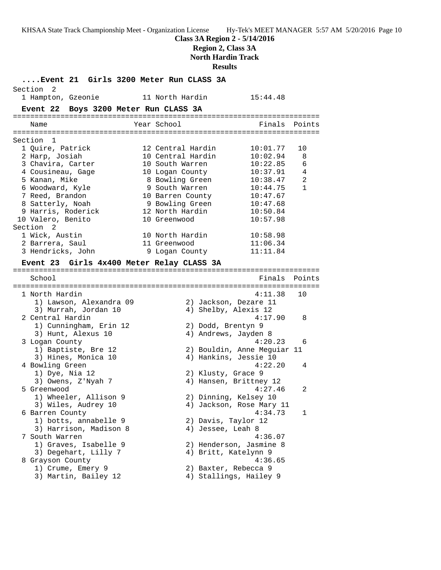### **Class 3A Region 2 - 5/14/2016 Region 2, Class 3A North Hardin Track**

**Results**

**....Event 21 Girls 3200 Meter Run CLASS 3A** Section 2 1 Hampton, Gzeonie 11 North Hardin 15:44.48 **Event 22 Boys 3200 Meter Run CLASS 3A** ======================================================================= Name The Year School The Finals Points ======================================================================= Section 1 1 Quire, Patrick 12 Central Hardin 10:01.77 10 2 Harp, Josiah 10 Central Hardin 10:02.94 8 3 Chavira, Carter 10 South Warren 10:22.85 6 4 Cousineau, Gage 10 Logan County 10:37.91 4 5 Kanan, Mike 8 Bowling Green 10:38.47 2 6 Woodward, Kyle 9 South Warren 10:44.75 1 7 Reed, Brandon 10 Barren County 10:47.67 8 Satterly, Noah 9 Bowling Green 10:47.68 9 Harris, Roderick 12 North Hardin 10:50.84 10 Valero, Benito 10 Greenwood 10:57.98 Section 2<br>1 Wick, Austin 1 Wick, Austin 10 North Hardin 10:58.98 2 Barrera, Saul 11 Greenwood 11:06.34 3 Hendricks, John 9 Logan County 11:11.84 **Event 23 Girls 4x400 Meter Relay CLASS 3A** ======================================================================= School Finals Points ======================================================================= 1 North Hardin 4:11.38 10 1) Lawson, Alexandra 09 2) Jackson, Dezare 11 3) Murrah, Jordan 10  $\hphantom{\ddots}$  4) Shelby, Alexis 12 2 Central Hardin 4:17.90 8 1) Cunningham, Erin 12 2) Dodd, Brentyn 9 3) Hunt, Alexus 10 (4) Andrews, Jayden 8 3 Logan County 4:20.23 6 1) Baptiste, Bre 12 2) Bouldin, Anne Meguiar 11 3) Hines, Monica 10 4) Hankins, Jessie 10 4 Bowling Green 4:22.20 4 1) Dye, Nia 12 2) Klusty, Grace 9 3) Owens, Z'Nyah 7 4) Hansen, Brittney 12 5 Greenwood 4:27.46 2 1) Wheeler, Allison 9 2) Dinning, Kelsey 10 3) Wiles, Audrey 10 4) Jackson, Rose Mary 11 6 Barren County 4:34.73 1 1) botts, annabelle 9 2) Davis, Taylor 12 3) Harrison, Madison 8 (4) Jessee, Leah 8 7 South Warren 4:36.07 1) Graves, Isabelle 9 2) Henderson, Jasmine 8 3) Degehart, Lilly 7 (4) Britt, Katelynn 9 8 Grayson County 4:36.65 1) Crume, Emery 9 2) Baxter, Rebecca 9 3) Martin, Bailey 12 4) Stallings, Hailey 9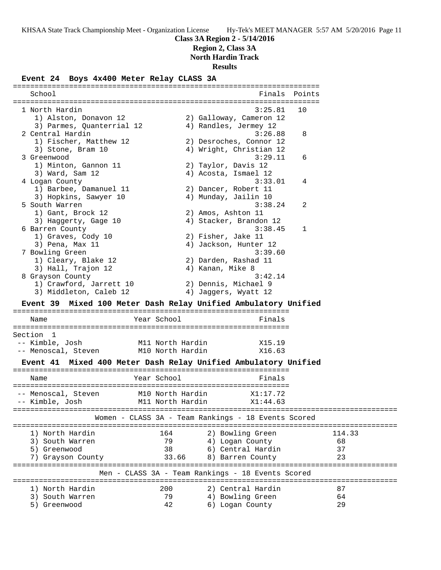### **Class 3A Region 2 - 5/14/2016**

**Region 2, Class 3A**

**North Hardin Track**

#### **Results**

### **Event 24 Boys 4x400 Meter Relay CLASS 3A**

======================================================================= School **Finals** Points ======================================================================= 1 North Hardin 3:25.81 10 1) Alston, Donavon 12 2) Galloway, Cameron 12 3) Parmes, Quanterrial 12 4) Randles, Jermey 12 2 Central Hardin 3:26.88 8 1) Fischer, Matthew 12 2) Desroches, Connor 12 3) Stone, Bram 10 4) Wright, Christian 12 3 Greenwood 3:29.11 6 1) Minton, Gannon 11 2) Taylor, Davis 12 3) Ward, Sam 12 4) Acosta, Ismael 12 4 Logan County 3:33.01 4 1) Barbee, Damanuel 11 2) Dancer, Robert 11 3) Hopkins, Sawyer 10  $\hskip1cm \hskip1cm 4$ ) Munday, Jailin 10 5 South Warren 3:38.24 2 1) Gant, Brock 12 2) Amos, Ashton 11 3) Haggerty, Gage 10 4) Stacker, Brandon 12 6 Barren County 3:38.45 1 1) Graves, Cody 10 2) Fisher, Jake 11 3) Pena, Max 11 4) Jackson, Hunter 12 7 Bowling Green 3:39.60 1) Cleary, Blake 12 2) Darden, Rashad 11 3) Hall, Trajon 12 (4) Kanan, Mike 8 8 Grayson County **3:42.14**  1) Crawford, Jarrett 10 2) Dennis, Michael 9 3) Middleton, Caleb 12 4) Jaggers, Wyatt 12 **Event 39 Mixed 100 Meter Dash Relay Unified Ambulatory Unified** ================================================================ Name **Year School** Finals ================================================================ Section 1 -- Kimble, Josh M11 North Hardin X15.19 -- Menoscal, Steven M10 North Hardin X16.63 **Event 41 Mixed 400 Meter Dash Relay Unified Ambulatory Unified** ================================================================ Name **Year School** Finals ================================================================ -- Menoscal, Steven M10 North Hardin X1:17.72 -- Kimble, Josh M11 North Hardin X1:44.63 ========================================================================================= Women - CLASS 3A - Team Rankings - 18 Events Scored ========================================================================================= 1) North Hardin 164 2) Bowling Green 114.33 3) South Warren 79 4) Logan County 68 5) Greenwood 38 6) Central Hardin 37 7) Grayson County 33.66 8) Barren County 23 ========================================================================================= Men - CLASS 3A - Team Rankings - 18 Events Scored ========================================================================================= 1) North Hardin 200 2) Central Hardin 87 3) South Warren 79 4) Bowling Green 64 5) Greenwood 42 6) Logan County 29